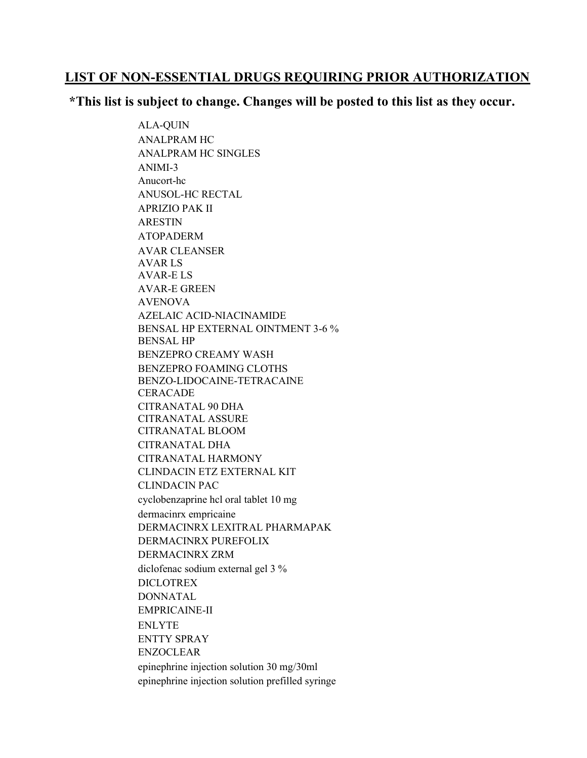## LIST OF NON-ESSENTIAL DRUGS REQUIRING PRIOR AUTHORIZATION

## \*This list is subject to change. Changes will be posted to this list as they occur.

ALA-QUIN ANALPRAM HC ANALPRAM HC SINGLES ANIMI-3 Anucort-hc ANUSOL-HC RECTAL APRIZIO PAK II ARESTIN ATOPADERM AVAR CLEANSER AVAR LS AVAR-E LS AVAR-E GREEN AVENOVA AZELAIC ACID-NIACINAMIDE BENSAL HP EXTERNAL OINTMENT 3-6 % BENSAL HP BENZEPRO CREAMY WASH BENZEPRO FOAMING CLOTHS BENZO-LIDOCAINE-TETRACAINE **CERACADE** CITRANATAL 90 DHA CITRANATAL ASSURE CITRANATAL BLOOM CITRANATAL DHA CITRANATAL HARMONY CLINDACIN ETZ EXTERNAL KIT CLINDACIN PAC cyclobenzaprine hcl oral tablet 10 mg dermacinrx empricaine DERMACINRX LEXITRAL PHARMAPAK DERMACINRX PUREFOLIX DERMACINRX ZRM diclofenac sodium external gel 3 % DICLOTREX DONNATAL EMPRICAINE-II ENLYTE ENTTY SPRAY ENZOCLEAR epinephrine injection solution 30 mg/30ml epinephrine injection solution prefilled syringe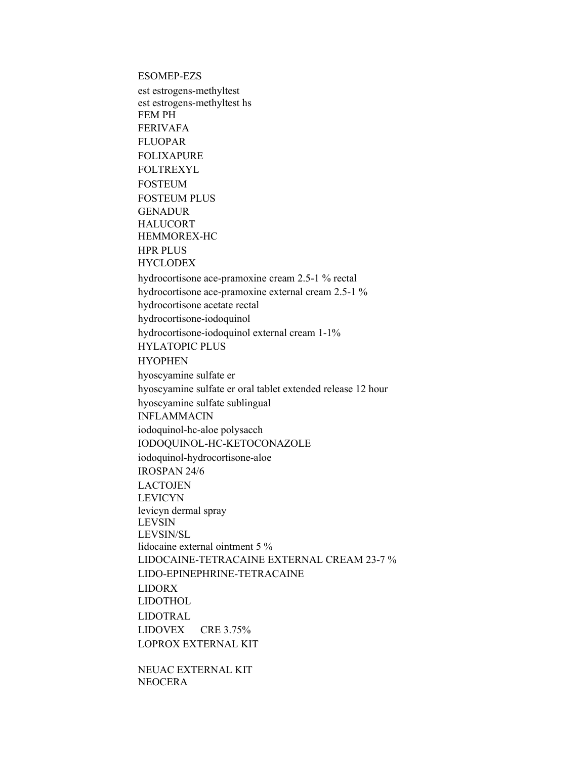**ESOMEP-EZS** 

est estrogens-methyltest est estrogens-methyltest hs **FEMPH FERIVAFA FLUOPAR FOLIXAPURE FOLTREXYL FOSTEUM FOSTEUM PLUS GENADUR HALUCORT** HEMMOREX-HC **HPR PLUS HYCLODEX** hydrocortisone ace-pramoxine cream 2.5-1 % rectal hydrocortisone ace-pramoxine external cream 2.5-1 % hydrocortisone acetate rectal hydrocortisone-iodoquinol hydrocortisone-iodoquinol external cream 1-1% **HYLATOPIC PLUS HYOPHEN** hyoscyamine sulfate er hyoscyamine sulfate er oral tablet extended release 12 hour hyoscyamine sulfate sublingual **INFLAMMACIN** iodoquinol-hc-aloe polysacch IODOQUINOL-HC-KETOCONAZOLE iodoquinol-hydrocortisone-aloe **IROSPAN 24/6 LACTOJEN LEVICYN** levicyn dermal spray **LEVSIN** LEVSIN/SL lidocaine external ointment 5 % LIDOCAINE-TETRACAINE EXTERNAL CREAM 23-7 % LIDO-EPINEPHRINE-TETRACAINE **LIDORX LIDOTHOL LIDOTRAL** LIDOVEX CRE  $3.75\%$ **LOPROX EXTERNAL KIT** 

NEUAC EXTERNAL KIT **NEOCERA**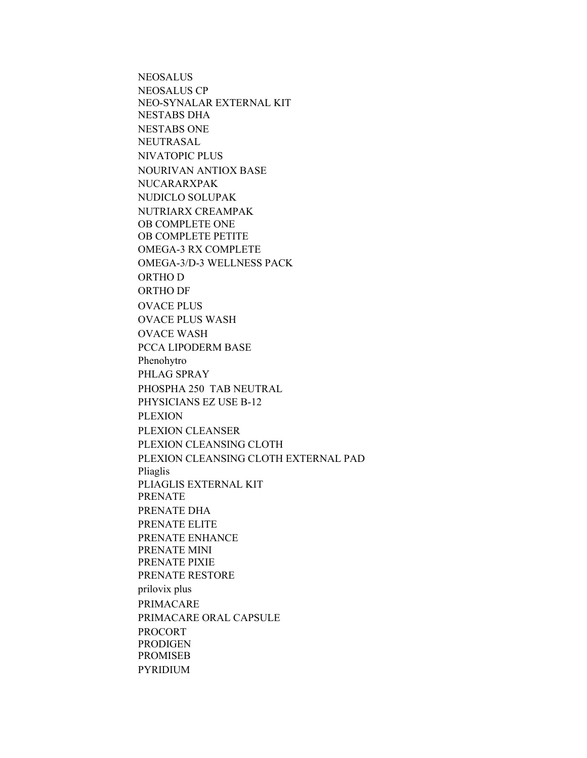**NEOSALUS NEOSALUS CP** NEO-SYNALAR EXTERNAL KIT **NESTABS DHA NESTABS ONE** NEUTRASAL NIVATOPIC PLUS **NOURIVAN ANTIOX BASE** NUCARARXPAK **NUDICLO SOLUPAK** NUTRIARX CREAMPAK OB COMPLETE ONE OB COMPLETE PETITE **OMEGA-3 RX COMPLETE** OMEGA-3/D-3 WELLNESS PACK ORTHO D **ORTHO DF OVACE PLUS OVACE PLUS WASH OVACE WASH** PCCA LIPODERM BASE Phenohytro PHLAG SPRAY PHOSPHA 250 TAB NEUTRAL PHYSICIANS EZ USE B-12 **PLEXION** PLEXION CLEANSER PLEXION CLEANSING CLOTH PLEXION CLEANSING CLOTH EXTERNAL PAD Pliaglis PLIAGLIS EXTERNAL KIT **PRENATE** PRENATE DHA PRENATE ELITE PRENATE ENHANCE PRENATE MINI PRENATE PIXIE PRENATE RESTORE prilovix plus PRIMACARE PRIMACARE ORAL CAPSULE **PROCORT PRODIGEN PROMISEB PYRIDIUM**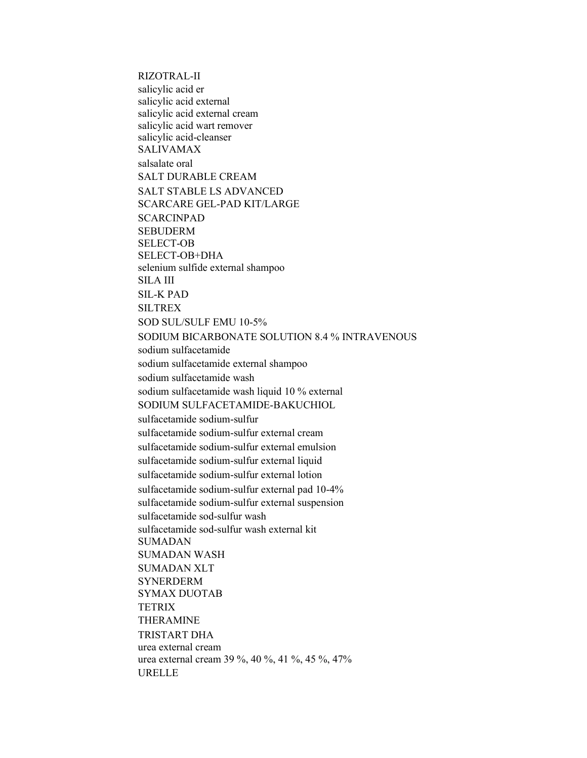RIZOTRAL-II salicylic acid er salicylic acid external salicylic acid external cream salicylic acid wart remover salicylic acid-cleanser SALIVAMAX salsalate oral SALT DURABLE CREAM SALT STABLE LS ADVANCED SCARCARE GEL-PAD KIT/LARGE SCARCINPAD SEBUDERM SELECT-OB SELECT-OB+DHA selenium sulfide external shampoo SILA III SIL-K PAD SILTREX SOD SUL/SULF EMU 10-5% SODIUM BICARBONATE SOLUTION 8.4 % INTRAVENOUS sodium sulfacetamide sodium sulfacetamide external shampoo sodium sulfacetamide wash sodium sulfacetamide wash liquid 10 % external SODIUM SULFACETAMIDE-BAKUCHIOL sulfacetamide sodium-sulfur sulfacetamide sodium-sulfur external cream sulfacetamide sodium-sulfur external emulsion sulfacetamide sodium-sulfur external liquid sulfacetamide sodium-sulfur external lotion sulfacetamide sodium-sulfur external pad 10-4% sulfacetamide sodium-sulfur external suspension sulfacetamide sod-sulfur wash sulfacetamide sod-sulfur wash external kit SUMADAN SUMADAN WASH SUMADAN XLT SYNERDERM SYMAX DUOTAB **TETRIX** THERAMINE TRISTART DHA urea external cream urea external cream 39 %, 40 %, 41 %, 45 %, 47% URELLE